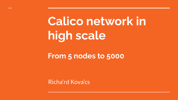### **Calico network in high scale**

#### **From 5 nodes to 5000**

Richa'rd Kova'cs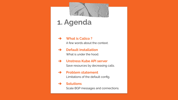#### **1. Agenda**

- ➔ **What is Calico ?** A few words about the context.
- ➔ **Default installation** What is under the hood.
- ➔ **Unstress Kube API server** Save resources by decreasing calls.
- ➔ **Problem statement**

Limitations of the default config.

#### ➔ **Solutions**

Scale BGP messages and connections.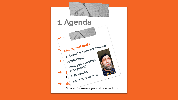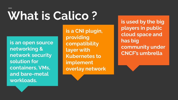# **What is Calico ? is used by the big**

**is an open source networking & network security solution for containers, VMs, and bare-metal workloads.**

**is a CNI plugin, providing compatibility layer with Kubernetes to implement overlay network** **players in public cloud space and has big community under CNCF's umbrella**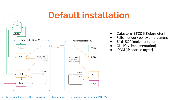### **Default installation**



- Datastore [ETCD || Kubernetes]
- Felix [network policy enforcement]
- Bird [BGP implementation]
- CNI [CNI implementation]
- IPAM [IP address mgmt]

src: <https://medium.com/@k.grundy/project-calico-kubernetes-integration-overview-a3a860cd974e>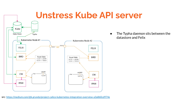

● The Typha daemon sits between the datastore and Felix

src: <https://medium.com/@k.grundy/project-calico-kubernetes-integration-overview-a3a860cd974e>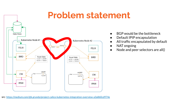#### **Problem statement**



BGP would be the bottleneck

- Default IPIP encapsulation
- All traffic encapsulated by default
- NAT ongoing
- Node and peer selectors are all()

src: <https://medium.com/@k.grundy/project-calico-kubernetes-integration-overview-a3a860cd974e>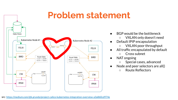### **Problem statement**



- BGP would be the bottleneck
	- VXLAN only doesn't need
- Default IPIP encapsulation
	- VXLAN poor throughput
- All traffic encapsulated by default ○ Cross subnet
- NAT ongoing
	- Special cases, advanced
- Node and peer selectors are all()
	- Route Reflectors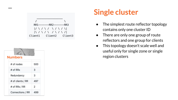

| <b>Numbers</b>    |     |
|-------------------|-----|
| # of nodes        | 500 |
| # of RRs          | 3   |
| Redundancy        | 3   |
| # of clients / RR | 497 |
| # of RRs / RR     | 2   |
| Connections / RR  | 499 |

#### **Single cluster**

- The simplest route reflector topology contains only one cluster ID
- There are only one group of route reflectors and one group for clients
- This topology doesn't scale well and useful only for single zone or single region clusters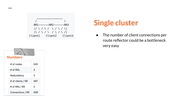

#### **Single cluster**

● The number of client connections per route reflector could be a bottleneck very easy

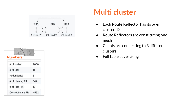



#### **Multi cluster**

- Each Route Reflector has its own cluster ID
- Route Reflectors are constituting one mesh
- Clients are connecting to 3 different clusters
- Full table advertising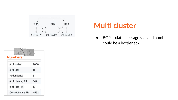

#### **Multi cluster**

● BGP update message size and number could be a bottleneck

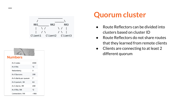



#### **Quorum cluster**

- Route Reflectors can be divided into clusters based on cluster ID
- Route Reflectors do not share routes that they learned from remote clients
- Clients are connecting to at least 2 different quorum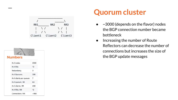



#### **Quorum cluster**

- $\sim$  3000 (depends on the flavor) nodes the BGP connection number became bottleneck
- Increasing the number of Route Reflectors can decrease the number of connections but increases the size of **Numbers Numbers the BGP update messages**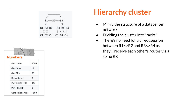



#### **Hierarchy cluster**

- Mimic the structure of a datacenter network
- Dividing the cluster into "racks"
- There's no need for a direct session between R1<>R2 and R3<>R4 as they'll receive each other's routes via a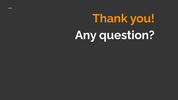## **Thank you! Any question?**